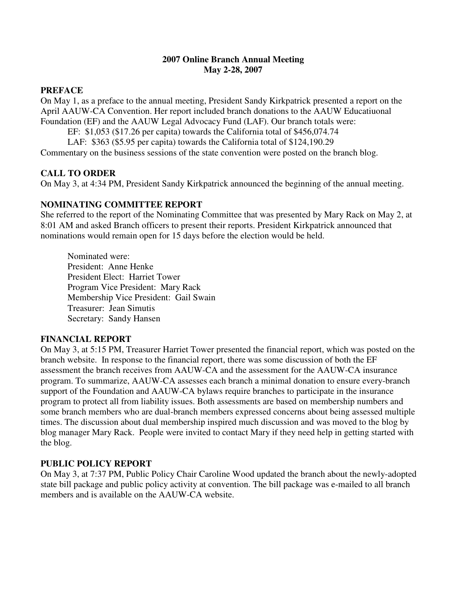## **2007 Online Branch Annual Meeting May 2-28, 2007**

## **PREFACE**

On May 1, as a preface to the annual meeting, President Sandy Kirkpatrick presented a report on the April AAUW-CA Convention. Her report included branch donations to the AAUW Educatiuonal Foundation (EF) and the AAUW Legal Advocacy Fund (LAF). Our branch totals were:

EF: \$1,053 (\$17.26 per capita) towards the California total of \$456,074.74

LAF: \$363 (\$5.95 per capita) towards the California total of \$124,190.29

Commentary on the business sessions of the state convention were posted on the branch blog.

### **CALL TO ORDER**

On May 3, at 4:34 PM, President Sandy Kirkpatrick announced the beginning of the annual meeting.

#### **NOMINATING COMMITTEE REPORT**

She referred to the report of the Nominating Committee that was presented by Mary Rack on May 2, at 8:01 AM and asked Branch officers to present their reports. President Kirkpatrick announced that nominations would remain open for 15 days before the election would be held.

Nominated were: President: Anne Henke President Elect: Harriet Tower Program Vice President: Mary Rack Membership Vice President: Gail Swain Treasurer: Jean Simutis Secretary: Sandy Hansen

# **FINANCIAL REPORT**

On May 3, at 5:15 PM, Treasurer Harriet Tower presented the financial report, which was posted on the branch website. In response to the financial report, there was some discussion of both the EF assessment the branch receives from AAUW-CA and the assessment for the AAUW-CA insurance program. To summarize, AAUW-CA assesses each branch a minimal donation to ensure every-branch support of the Foundation and AAUW-CA bylaws require branches to participate in the insurance program to protect all from liability issues. Both assessments are based on membership numbers and some branch members who are dual-branch members expressed concerns about being assessed multiple times. The discussion about dual membership inspired much discussion and was moved to the blog by blog manager Mary Rack. People were invited to contact Mary if they need help in getting started with the blog.

#### **PUBLIC POLICY REPORT**

On May 3, at 7:37 PM, Public Policy Chair Caroline Wood updated the branch about the newly-adopted state bill package and public policy activity at convention. The bill package was e-mailed to all branch members and is available on the AAUW-CA website.